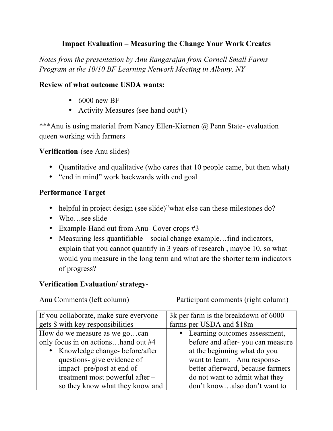# **Impact Evaluation – Measuring the Change Your Work Creates**

*Notes from the presentation by Anu Rangarajan from Cornell Small Farms Program at the 10/10 BF Learning Network Meeting in Albany, NY*

### **Review of what outcome USDA wants:**

- 6000 new BF
- Activity Measures (see hand out#1)

\*\*\*Anu is using material from Nancy Ellen-Kiernen @ Penn State- evaluation queen working with farmers

### **Verification**-(see Anu slides)

- Quantitative and qualitative (who cares that 10 people came, but then what)
- "end in mind" work backwards with end goal

## **Performance Target**

- helpful in project design (see slide)" what else can these milestones do?
- Who…see slide
- Example-Hand out from Anu- Cover crops #3
- Measuring less quantifiable—social change example...find indicators, explain that you cannot quantify in 3 years of research , maybe 10, so what would you measure in the long term and what are the shorter term indicators of progress?

## **Verification Evaluation/ strategy-**

Anu Comments (left column) Participant comments (right column)

| If you collaborate, make sure everyone | 3k per farm is the breakdown of 6000 |
|----------------------------------------|--------------------------------------|
| gets \$ with key responsibilities      | farms per USDA and \$18m             |
| How do we measure as we gocan          | • Learning outcomes assessment,      |
| only focus in on actionshand out #4    | before and after-you can measure     |
| • Knowledge change-before/after        | at the beginning what do you         |
| questions- give evidence of            | want to learn. Anu response-         |
| impact- pre/post at end of             | better afterward, because farmers    |
| treatment most powerful after -        | do not want to admit what they       |
| so they know what they know and        | don't knowalso don't want to         |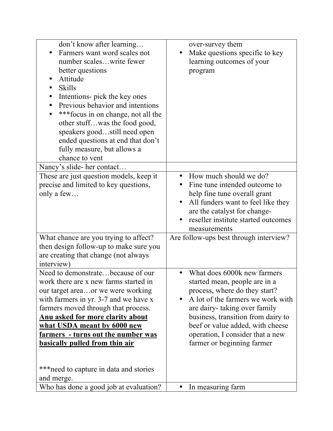| don't know after learning<br>Farmers want word scales not<br>number scaleswrite fewer<br>better questions<br>Attitude<br><b>Skills</b><br>Intentions- pick the key ones<br>Previous behavior and intentions<br>*** focus in on change, not all the<br>other stuffwas the food good,<br>speakers goodstill need open<br>ended questions at end that don't<br>fully measure, but allows a<br>chance to vent | over-survey them<br>Make questions specific to key<br>learning outcomes of your<br>program                                                                                                                                                                                                                                               |
|-----------------------------------------------------------------------------------------------------------------------------------------------------------------------------------------------------------------------------------------------------------------------------------------------------------------------------------------------------------------------------------------------------------|------------------------------------------------------------------------------------------------------------------------------------------------------------------------------------------------------------------------------------------------------------------------------------------------------------------------------------------|
| Nancy's slide- her contact                                                                                                                                                                                                                                                                                                                                                                                |                                                                                                                                                                                                                                                                                                                                          |
| These are just question models, keep it<br>precise and limited to key questions,<br>only a few                                                                                                                                                                                                                                                                                                            | How much should we do?<br>$\bullet$<br>Fine tune intended outcome to<br>help fine tune overall grant<br>All funders want to feel like they<br>are the catalyst for change-<br>reseller institute started outcomes<br>measurements                                                                                                        |
| What chance are you trying to affect?<br>then design follow-up to make sure you<br>are creating that change (not always<br>interview)                                                                                                                                                                                                                                                                     | Are follow-ups best through interview?                                                                                                                                                                                                                                                                                                   |
| Need to demonstratebecause of our<br>work there are x new farms started in<br>our target areaor we were working<br>with farmers in yr. 3-7 and we have x<br>farmers moved through that process.<br><u>Anu asked for more clarity about</u><br>what USDA meant by 6000 new<br><u>farmers - turns out the number was</u><br><b>basically pulled from thin air</b>                                           | What does 6000k new farmers<br>$\bullet$<br>started mean, people are in a<br>process, where do they start?<br>A lot of the farmers we work with<br>$\bullet$<br>are dairy-taking over family<br>business, transition from dairy to<br>beef or value added, with cheese<br>operation, I consider that a new<br>farmer or beginning farmer |
| *** need to capture in data and stories<br>and merge.                                                                                                                                                                                                                                                                                                                                                     |                                                                                                                                                                                                                                                                                                                                          |
| Who has done a good job at evaluation?                                                                                                                                                                                                                                                                                                                                                                    | In measuring farm                                                                                                                                                                                                                                                                                                                        |